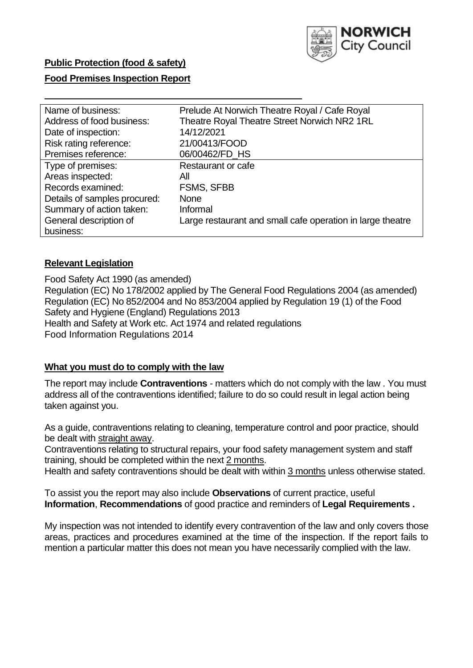

## **Public Protection (food & safety)**

## **Food Premises Inspection Report**

| Name of business:            | Prelude At Norwich Theatre Royal / Cafe Royal              |  |  |  |  |
|------------------------------|------------------------------------------------------------|--|--|--|--|
| Address of food business:    | Theatre Royal Theatre Street Norwich NR2 1RL               |  |  |  |  |
| Date of inspection:          | 14/12/2021                                                 |  |  |  |  |
| Risk rating reference:       | 21/00413/FOOD                                              |  |  |  |  |
| Premises reference:          | 06/00462/FD HS                                             |  |  |  |  |
| Type of premises:            | Restaurant or cafe                                         |  |  |  |  |
| Areas inspected:             | All                                                        |  |  |  |  |
| Records examined:            | <b>FSMS, SFBB</b>                                          |  |  |  |  |
| Details of samples procured: | <b>None</b>                                                |  |  |  |  |
| Summary of action taken:     | Informal                                                   |  |  |  |  |
| General description of       | Large restaurant and small cafe operation in large theatre |  |  |  |  |
| business:                    |                                                            |  |  |  |  |

### **Relevant Legislation**

 Food Safety Act 1990 (as amended) Regulation (EC) No 178/2002 applied by The General Food Regulations 2004 (as amended) Regulation (EC) No 852/2004 and No 853/2004 applied by Regulation 19 (1) of the Food Safety and Hygiene (England) Regulations 2013 Health and Safety at Work etc. Act 1974 and related regulations Food Information Regulations 2014

#### **What you must do to comply with the law**

 The report may include **Contraventions** - matters which do not comply with the law . You must address all of the contraventions identified; failure to do so could result in legal action being taken against you.

 As a guide, contraventions relating to cleaning, temperature control and poor practice, should be dealt with straight away.

 Contraventions relating to structural repairs, your food safety management system and staff training, should be completed within the next 2 months.

Health and safety contraventions should be dealt with within 3 months unless otherwise stated.

 To assist you the report may also include **Observations** of current practice, useful **Information**, **Recommendations** of good practice and reminders of **Legal Requirements .** 

 My inspection was not intended to identify every contravention of the law and only covers those areas, practices and procedures examined at the time of the inspection. If the report fails to mention a particular matter this does not mean you have necessarily complied with the law.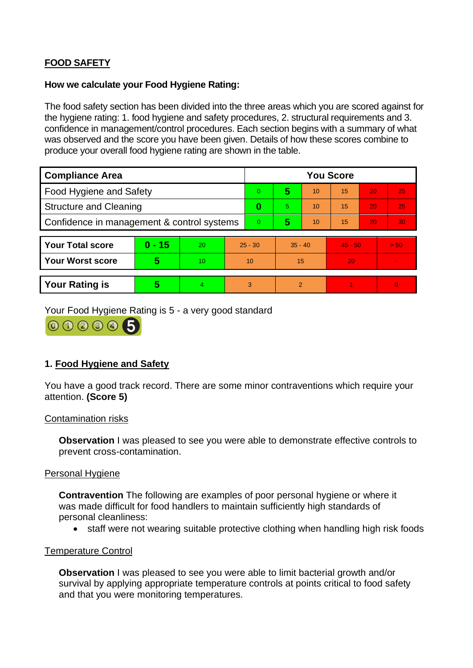# **FOOD SAFETY**

## **How we calculate your Food Hygiene Rating:**

 The food safety section has been divided into the three areas which you are scored against for the hygiene rating: 1. food hygiene and safety procedures, 2. structural requirements and 3. confidence in management/control procedures. Each section begins with a summary of what was observed and the score you have been given. Details of how these scores combine to produce your overall food hygiene rating are shown in the table.

| <b>Compliance Area</b>                     |          |    |                | <b>You Score</b> |                |    |           |    |                |  |  |
|--------------------------------------------|----------|----|----------------|------------------|----------------|----|-----------|----|----------------|--|--|
| Food Hygiene and Safety                    |          |    |                | $\Omega$         | 5              | 10 | 15        | 20 | 25             |  |  |
| <b>Structure and Cleaning</b>              |          |    | 0              | 5                | 10             | 15 | 20        | 25 |                |  |  |
| Confidence in management & control systems |          |    | $\overline{0}$ | 5                | 10             | 15 | 20        | 30 |                |  |  |
|                                            |          |    |                |                  |                |    |           |    |                |  |  |
| <b>Your Total score</b>                    | $0 - 15$ | 20 | $25 - 30$      |                  | $35 - 40$      |    | $45 - 50$ |    | > 50           |  |  |
| <b>Your Worst score</b>                    | 5        | 10 | 10             |                  | 15             |    | 20        |    |                |  |  |
|                                            |          |    |                |                  |                |    |           |    |                |  |  |
| <b>Your Rating is</b>                      | 5        | 4. | 3              |                  | $\overline{2}$ |    |           |    | $\overline{0}$ |  |  |

Your Food Hygiene Rating is 5 - a very good standard

000005

## **1. Food Hygiene and Safety**

You have a good track record. There are some minor contraventions which require your attention. **(Score 5)** 

#### Contamination risks

**Observation** I was pleased to see you were able to demonstrate effective controls to prevent cross-contamination.

## Personal Hygiene

**Contravention** The following are examples of poor personal hygiene or where it was made difficult for food handlers to maintain sufficiently high standards of personal cleanliness:

• staff were not wearing suitable protective clothing when handling high risk foods

#### Temperature Control

**Observation** I was pleased to see you were able to limit bacterial growth and/or survival by applying appropriate temperature controls at points critical to food safety and that you were monitoring temperatures.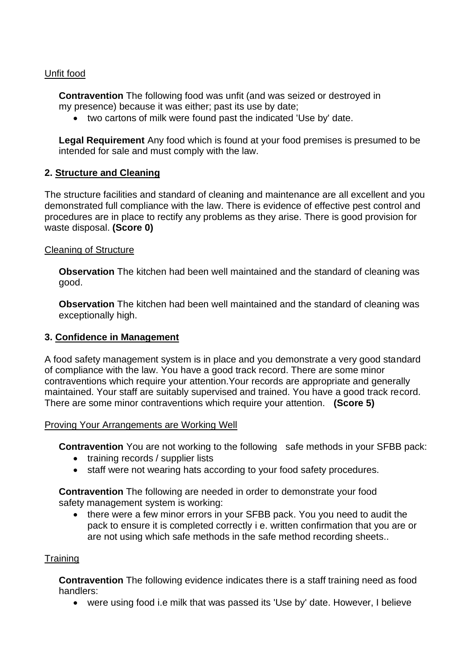## Unfit food

**Contravention** The following food was unfit (and was seized or destroyed in my presence) because it was either; past its use by date;

• two cartons of milk were found past the indicated 'Use by' date.

**Legal Requirement** Any food which is found at your food premises is presumed to be intended for sale and must comply with the law.

### **2. Structure and Cleaning**

The structure facilities and standard of cleaning and maintenance are all excellent and you demonstrated full compliance with the law. There is evidence of effective pest control and procedures are in place to rectify any problems as they arise. There is good provision for waste disposal. **(Score 0)** 

#### Cleaning of Structure

**Observation** The kitchen had been well maintained and the standard of cleaning was good.

**Observation** The kitchen had been well maintained and the standard of cleaning was exceptionally high.

## **3. Confidence in Management**

 of compliance with the law. You have a good track record. There are some minor maintained. Your staff are suitably supervised and trained. You have a good track record. A food safety management system is in place and you demonstrate a very good standard contraventions which require your attention.Your records are appropriate and generally There are some minor contraventions which require your attention. **(Score 5)** 

#### Proving Your Arrangements are Working Well

**Contravention** You are not working to the following safe methods in your SFBB pack:

- training records / supplier lists
- staff were not wearing hats according to your food safety procedures.

**Contravention** The following are needed in order to demonstrate your food safety management system is working:

 • there were a few minor errors in your SFBB pack. You you need to audit the are not using which safe methods in the safe method recording sheets.. pack to ensure it is completed correctly i e. written confirmation that you are or

#### **Training**

 **Contravention** The following evidence indicates there is a staff training need as food handlers:

• were using food i.e milk that was passed its 'Use by' date. However, I believe